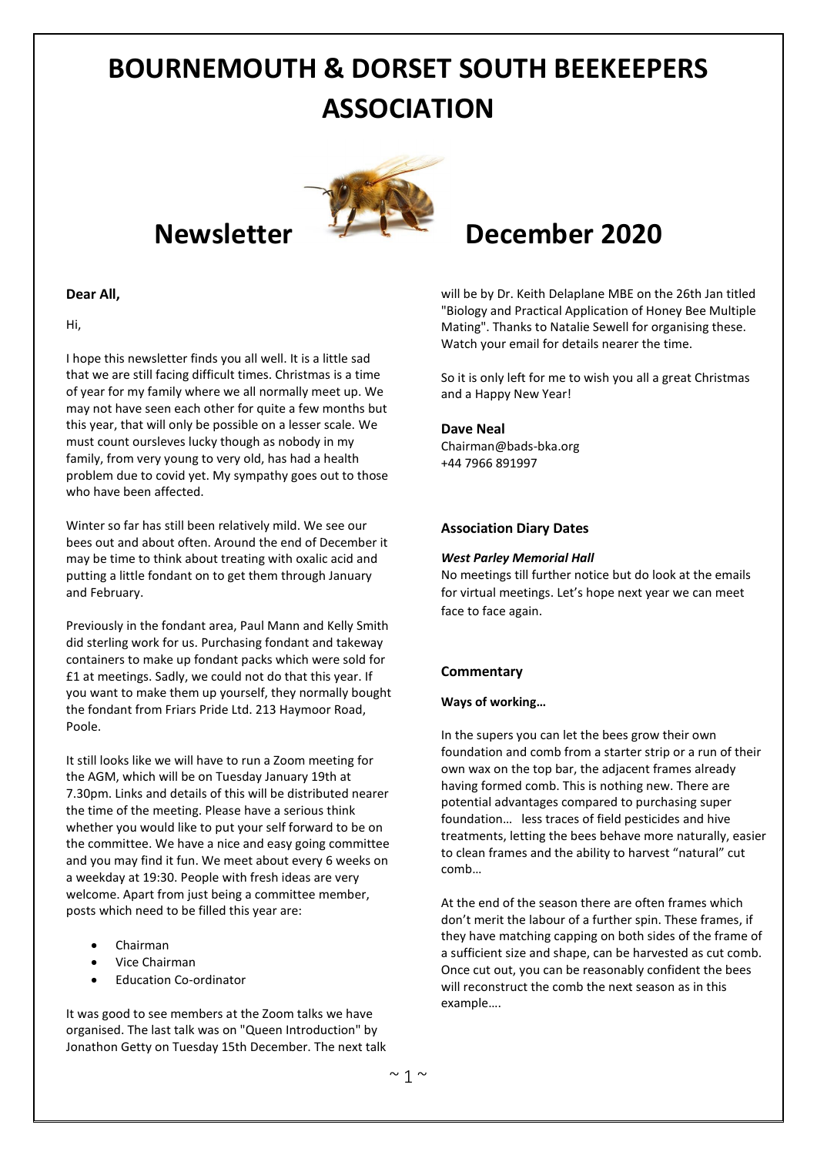# **BOURNEMOUTH & DORSET SOUTH BEEKEEPERS ASSOCIATION**



#### **Dear All,**

Hi,

I hope this newsletter finds you all well. It is a little sad that we are still facing difficult times. Christmas is a time of year for my family where we all normally meet up. We may not have seen each other for quite a few months but this year, that will only be possible on a lesser scale. We must count oursleves lucky though as nobody in my family, from very young to very old, has had a health problem due to covid yet. My sympathy goes out to those who have been affected.

Winter so far has still been relatively mild. We see our bees out and about often. Around the end of December it may be time to think about treating with oxalic acid and putting a little fondant on to get them through January and February.

Previously in the fondant area, Paul Mann and Kelly Smith did sterling work for us. Purchasing fondant and takeway containers to make up fondant packs which were sold for £1 at meetings. Sadly, we could not do that this year. If you want to make them up yourself, they normally bought the fondant from Friars Pride Ltd. 213 Haymoor Road, Poole.

It still looks like we will have to run a Zoom meeting for the AGM, which will be on Tuesday January 19th at 7.30pm. Links and details of this will be distributed nearer the time of the meeting. Please have a serious think whether you would like to put your self forward to be on the committee. We have a nice and easy going committee and you may find it fun. We meet about every 6 weeks on a weekday at 19:30. People with fresh ideas are very welcome. Apart from just being a committee member, posts which need to be filled this year are:

- Chairman
- Vice Chairman
- Education Co-ordinator

It was good to see members at the Zoom talks we have organised. The last talk was on "Queen Introduction" by Jonathon Getty on Tuesday 15th December. The next talk

## **Newsletter December 2020**

will be by Dr. Keith Delaplane MBE on the 26th Jan titled "Biology and Practical Application of Honey Bee Multiple Mating". Thanks to Natalie Sewell for organising these. Watch your email for details nearer the time.

So it is only left for me to wish you all a great Christmas and a Happy New Year!

#### **Dave Neal**

Chairman@bads-bka.org +44 7966 891997

#### **Association Diary Dates**

#### *West Parley Memorial Hall*

No meetings till further notice but do look at the emails for virtual meetings. Let's hope next year we can meet face to face again.

### **Commentary**

#### **Ways of working…**

In the supers you can let the bees grow their own foundation and comb from a starter strip or a run of their own wax on the top bar, the adjacent frames already having formed comb. This is nothing new. There are potential advantages compared to purchasing super foundation… less traces of field pesticides and hive treatments, letting the bees behave more naturally, easier to clean frames and the ability to harvest "natural" cut comb…

At the end of the season there are often frames which don't merit the labour of a further spin. These frames, if they have matching capping on both sides of the frame of a sufficient size and shape, can be harvested as cut comb. Once cut out, you can be reasonably confident the bees will reconstruct the comb the next season as in this example….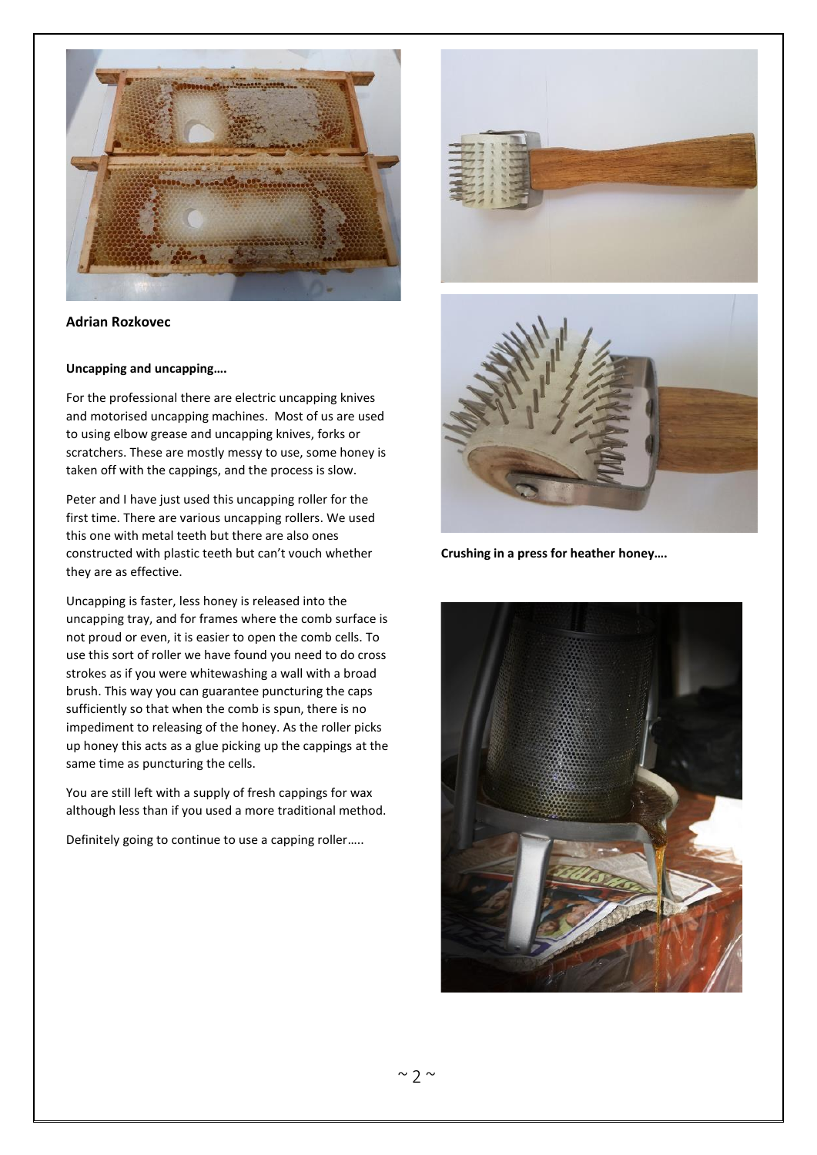

**Adrian Rozkovec**

#### **Uncapping and uncapping….**

For the professional there are electric uncapping knives and motorised uncapping machines. Most of us are used to using elbow grease and uncapping knives, forks or scratchers. These are mostly messy to use, some honey is taken off with the cappings, and the process is slow.

Peter and I have just used this uncapping roller for the first time. There are various uncapping rollers. We used this one with metal teeth but there are also ones constructed with plastic teeth but can't vouch whether they are as effective.

Uncapping is faster, less honey is released into the uncapping tray, and for frames where the comb surface is not proud or even, it is easier to open the comb cells. To use this sort of roller we have found you need to do cross strokes as if you were whitewashing a wall with a broad brush. This way you can guarantee puncturing the caps sufficiently so that when the comb is spun, there is no impediment to releasing of the honey. As the roller picks up honey this acts as a glue picking up the cappings at the same time as puncturing the cells.

You are still left with a supply of fresh cappings for wax although less than if you used a more traditional method.

Definitely going to continue to use a capping roller…..





**Crushing in a press for heather honey….**

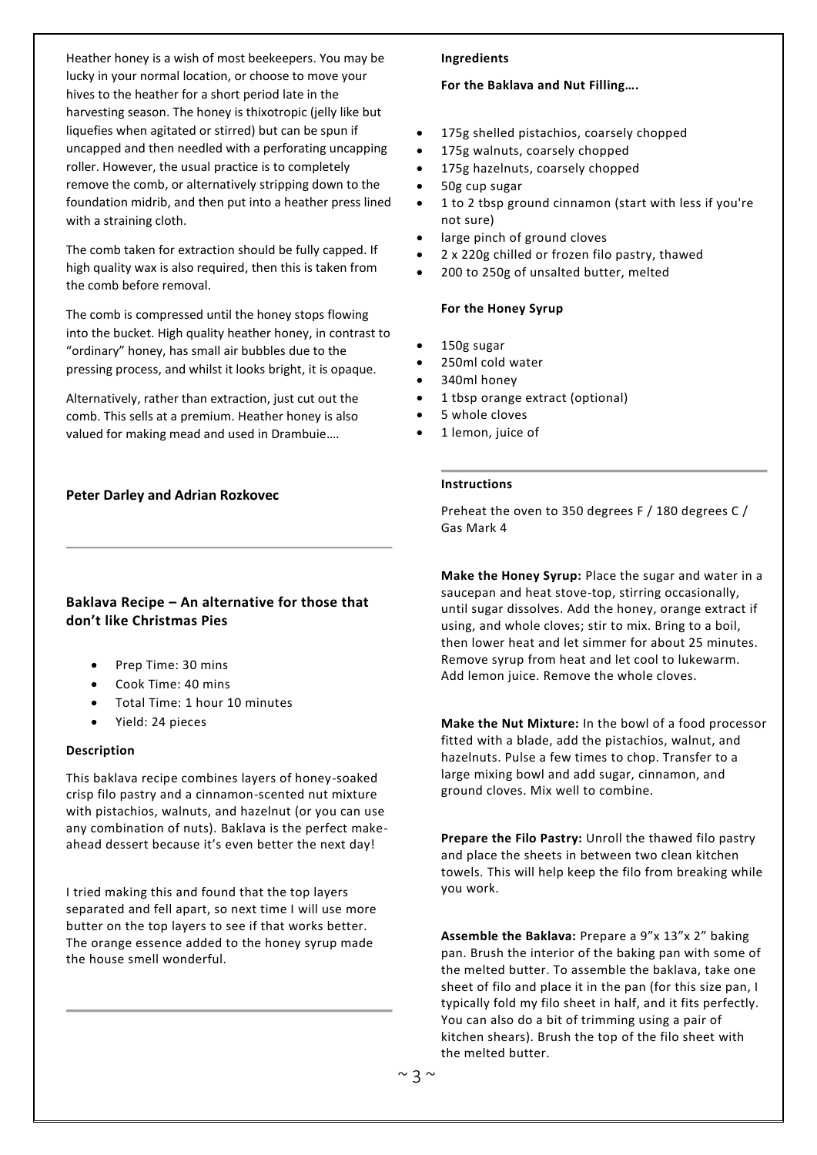Heather honey is a wish of most beekeepers. You may be lucky in your normal location, or choose to move your hives to the heather for a short period late in the harvesting season. The honey is thixotropic (jelly like but liquefies when agitated or stirred) but can be spun if uncapped and then needled with a perforating uncapping roller. However, the usual practice is to completely remove the comb, or alternatively stripping down to the foundation midrib, and then put into a heather press lined with a straining cloth.

The comb taken for extraction should be fully capped. If high quality wax is also required, then this is taken from the comb before removal.

The comb is compressed until the honey stops flowing into the bucket. High quality heather honey, in contrast to "ordinary" honey, has small air bubbles due to the pressing process, and whilst it looks bright, it is opaque.

Alternatively, rather than extraction, just cut out the comb. This sells at a premium. Heather honey is also valued for making mead and used in Drambuie….

#### **Peter Darley and Adrian Rozkovec**

#### **Baklava Recipe – An alternative for those that don't like Christmas Pies**

- Prep Time: 30 mins
- Cook Time: 40 mins
- Total Time: 1 hour 10 minutes
- Yield: 24 pieces

#### **Description**

This baklava recipe combines layers of honey-soaked crisp filo pastry and a cinnamon-scented nut mixture with pistachios, walnuts, and hazelnut (or you can use any combination of nuts). Baklava is the perfect makeahead dessert because it's even better the next day!

I tried making this and found that the top layers separated and fell apart, so next time I will use more butter on the top layers to see if that works better. The orange essence added to the honey syrup made the house smell wonderful.

#### **Ingredients**

#### **For the Baklava and Nut Filling….**

- 175g shelled pistachios, coarsely chopped
- 175g walnuts, coarsely chopped
- 175g hazelnuts, coarsely chopped
- 50g cup sugar
- 1 to 2 tbsp ground cinnamon (start with less if you're not sure)
- large pinch of ground cloves
- 2 x 220g chilled or frozen filo pastry, thawed
- 200 to 250g of unsalted butter, melted

#### **For the Honey Syrup**

- 150g sugar
- 250ml cold water
- 340ml honey
- 1 tbsp orange extract (optional)
- 5 whole cloves
- 1 lemon, juice of

#### **Instructions**

Preheat the oven to 350 degrees F / 180 degrees C / Gas Mark 4

**Make the Honey Syrup:** Place the sugar and water in a saucepan and heat stove-top, stirring occasionally, until sugar dissolves. Add the honey, orange extract if using, and whole cloves; stir to mix. Bring to a boil, then lower heat and let simmer for about 25 minutes. Remove syrup from heat and let cool to lukewarm. Add lemon juice. Remove the whole cloves.

**Make the Nut Mixture:** In the bowl of a food processor fitted with a blade, add the pistachios, walnut, and hazelnuts. Pulse a few times to chop. Transfer to a large mixing bowl and add sugar, cinnamon, and ground cloves. Mix well to combine.

**Prepare the Filo Pastry:** Unroll the thawed filo pastry and place the sheets in between two clean kitchen towels. This will help keep the filo from breaking while you work.

**Assemble the Baklava:** Prepare a 9"x 13"x 2" baking pan. Brush the interior of the baking pan with some of the melted butter. To assemble the baklava, take one sheet of filo and place it in the pan (for this size pan, I typically fold my filo sheet in half, and it fits perfectly. You can also do a bit of trimming using a pair of kitchen shears). Brush the top of the filo sheet with the melted butter.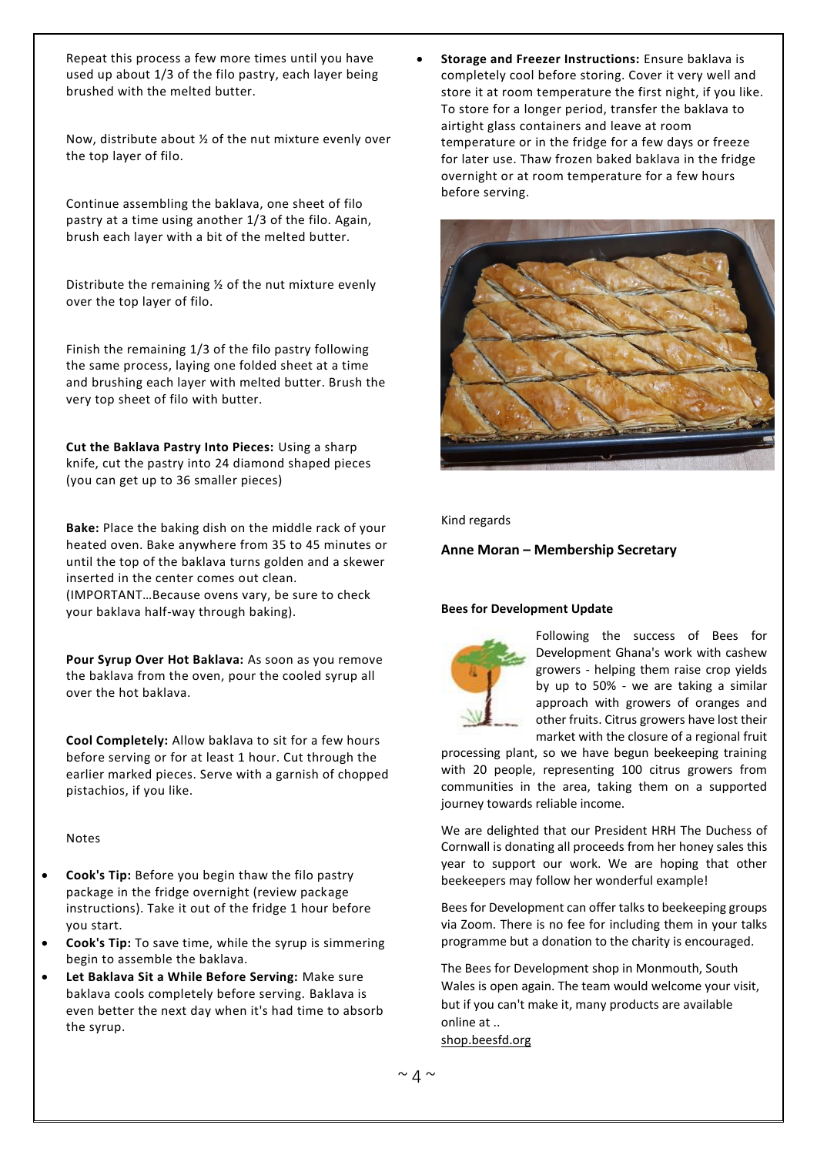Repeat this process a few more times until you have used up about 1/3 of the filo pastry, each layer being brushed with the melted butter.

Now, distribute about ½ of the nut mixture evenly over the top layer of filo.

Continue assembling the baklava, one sheet of filo pastry at a time using another 1/3 of the filo. Again, brush each layer with a bit of the melted butter.

Distribute the remaining ½ of the nut mixture evenly over the top layer of filo.

Finish the remaining 1/3 of the filo pastry following the same process, laying one folded sheet at a time and brushing each layer with melted butter. Brush the very top sheet of filo with butter.

**Cut the Baklava Pastry Into Pieces:** Using a sharp knife, cut the pastry into 24 diamond shaped pieces (you can get up to 36 smaller pieces)

**Bake:** Place the baking dish on the middle rack of your heated oven. Bake anywhere from 35 to 45 minutes or until the top of the baklava turns golden and a skewer inserted in the center comes out clean. (IMPORTANT…Because ovens vary, be sure to check your baklava half-way through baking).

**Pour Syrup Over Hot Baklava:** As soon as you remove the baklava from the oven, pour the cooled syrup all over the hot baklava.

**Cool Completely:** Allow baklava to sit for a few hours before serving or for at least 1 hour. Cut through the earlier marked pieces. Serve with a garnish of chopped pistachios, if you like.

#### Notes

- **Cook's Tip:** Before you begin thaw the filo pastry package in the fridge overnight (review package instructions). Take it out of the fridge 1 hour before you start.
- **Cook's Tip:** To save time, while the syrup is simmering begin to assemble the baklava.
- **Let Baklava Sit a While Before Serving:** Make sure baklava cools completely before serving. Baklava is even better the next day when it's had time to absorb the syrup.

• **Storage and Freezer Instructions:** Ensure baklava is completely cool before storing. Cover it very well and store it at room temperature the first night, if you like. To store for a longer period, transfer the baklava to airtight glass containers and leave at room temperature or in the fridge for a few days or freeze for later use. Thaw frozen baked baklava in the fridge overnight or at room temperature for a few hours before serving.



#### Kind regards

#### **Anne Moran – Membership Secretary**

#### **Bees for Development Update**



Following the success of Bees for Development Ghana's work with cashew growers - helping them raise crop yields by up to 50% - we are taking a similar approach with growers of oranges and other fruits. Citrus growers have lost their market with the closure of a regional fruit

processing plant, so we have begun beekeeping training with 20 people, representing 100 citrus growers from communities in the area, taking them on a supported journey towards reliable income.

We are delighted that our President HRH The Duchess of Cornwall is donating all proceeds from her honey sales this year to support our work. We are hoping that other beekeepers may follow her wonderful example!

Bees for Development can offer talks to beekeeping groups via Zoom. There is no fee for including them in your talks programme but a donation to the charity is encouraged.

The Bees for Development shop in Monmouth, South Wales is open again. The team would welcome your visit, but if you can't make it, many products are available online at .. [shop.beesfd.org](http://email.thorne.co.uk/_act/link.php?mId=AY87863274782772787441349zzzzz64a9d967a165d3d0242610a064fa82fa41404257b2e80c60fd36b7fc90466084ba&tId=468582368)